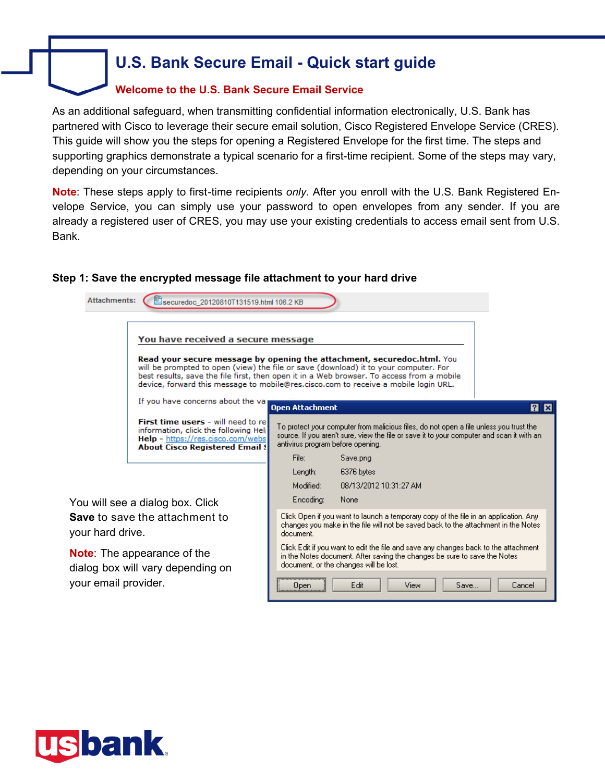## **U.S. Bank Secure Email - Quick start guide**

### **Welcome to the U.S. Bank Secure Email Service**

As an additional safeguard, when transmitting confidential information electronically, U.S. Bank has partnered with Cisco to leverage their secure email solution, Cisco Registered Envelope Service (CRES). This guide will show you the steps for opening a Registered Envelope for the first time. The steps and supporting graphics demonstrate a typical scenario for a first-time recipient. Some of the steps may vary, depending on your circumstances.

**Note**: These steps apply to first-time recipients *only*. After you enroll with the U.S. Bank Registered Envelope Service, you can simply use your password to open envelopes from any sender. If you are already a registered user of CRES, you may use your existing credentials to access email sent from U.S. Bank.

### **Step 1: Save the encrypted message file attachment to your hard drive**



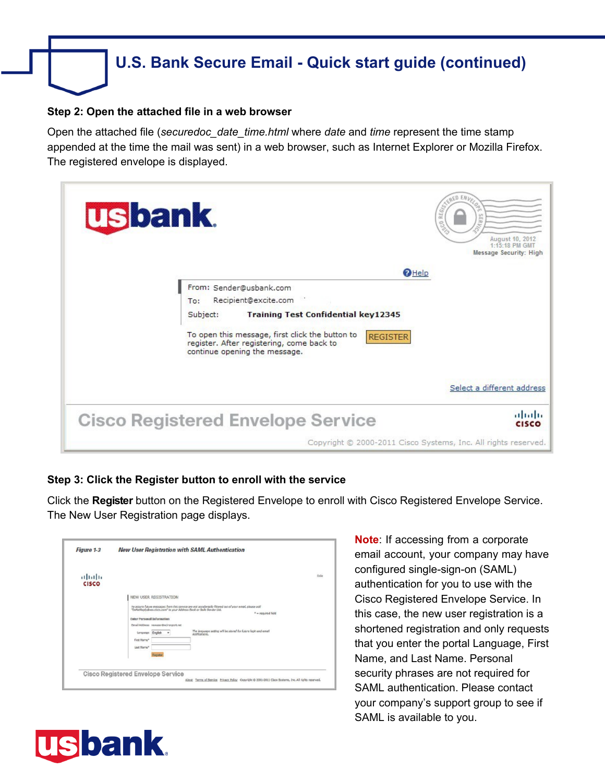## **U.S. Bank Secure Email - Quick start guide (continued)**

#### **Step 2: Open the attached file in a web browser**

Open the attached file (*securedoc\_date\_time.html* where *date* and *time* represent the time stamp appended at the time the mail was sent) in a web browser, such as Internet Explorer or Mozilla Firefox. The registered envelope is displayed.



### **Step 3: Click the Register button to enroll with the service**

Click the **Register** button on the Registered Envelope to enroll with Cisco Registered Envelope Service. The New User Registration page displays.

| (11.11)<br><b>CISCO</b> |                                                                                                                                                                                                                                            | $11\sqrt{3}$                                                                                                                                                                                                                 |
|-------------------------|--------------------------------------------------------------------------------------------------------------------------------------------------------------------------------------------------------------------------------------------|------------------------------------------------------------------------------------------------------------------------------------------------------------------------------------------------------------------------------|
|                         | NEW USER REGISTRATION<br>"DaNacReply@res.cisco.com" to your Address Dook or Selle Sender List.<br><b>Enter Personal Information</b><br>Email Address newuser@ncironport.net<br>Larguage English v<br>First Name®<br>Loot Name <sup>w</sup> | To assure future messages from this service are not accidentally filtered out of your email, please add<br><sup>11</sup> - required field<br>The lenguage setting will be stored for future look and email<br>notificacions, |
|                         | <b>Cisco Registered Envelope Service</b>                                                                                                                                                                                                   | About Terms of Service Privacy Policy Copyright @ 2001-2011 Cisco Systems, Inc. All rights reserved.                                                                                                                         |

**Note**: If accessing from a corporate email account, your company may have configured single-sign-on (SAML) authentication for you to use with the Cisco Registered Envelope Service. In this case, the new user registration is a shortened registration and only requests that you enter the portal Language, First Name, and Last Name. Personal security phrases are not required for SAML authentication. Please contact your company's support group to see if SAML is available to you.

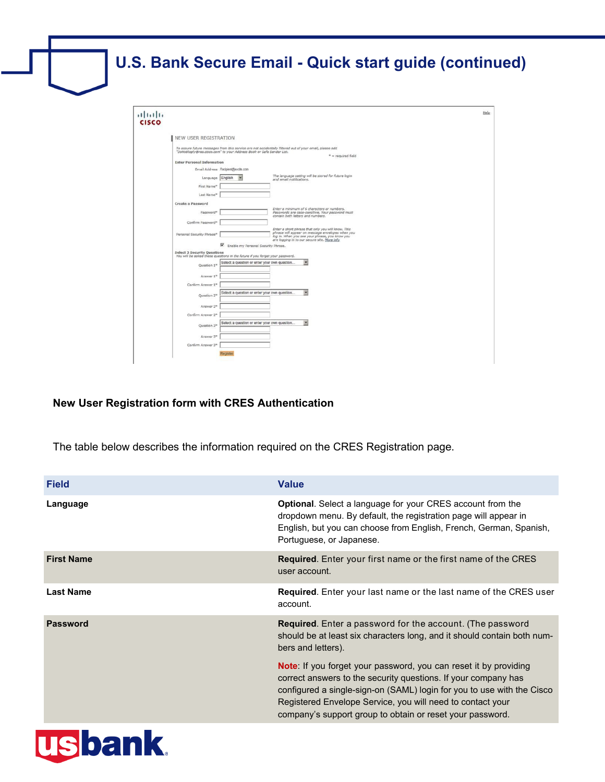

### **New User Registration form with CRES Authentication**

The table below describes the information required on the CRES Registration page.

| <b>Field</b>      | <b>Value</b>                                                                                                                                                                                                                                                                                                                                   |
|-------------------|------------------------------------------------------------------------------------------------------------------------------------------------------------------------------------------------------------------------------------------------------------------------------------------------------------------------------------------------|
| Language          | <b>Optional.</b> Select a language for your CRES account from the<br>dropdown menu. By default, the registration page will appear in<br>English, but you can choose from English, French, German, Spanish,<br>Portuguese, or Japanese.                                                                                                         |
| <b>First Name</b> | <b>Required.</b> Enter your first name or the first name of the CRES<br>user account.                                                                                                                                                                                                                                                          |
| <b>Last Name</b>  | <b>Required.</b> Enter your last name or the last name of the CRES user<br>account.                                                                                                                                                                                                                                                            |
| <b>Password</b>   | <b>Required.</b> Enter a password for the account. (The password<br>should be at least six characters long, and it should contain both num-<br>bers and letters).                                                                                                                                                                              |
|                   | <b>Note:</b> If you forget your password, you can reset it by providing<br>correct answers to the security questions. If your company has<br>configured a single-sign-on (SAML) login for you to use with the Cisco<br>Registered Envelope Service, you will need to contact your<br>company's support group to obtain or reset your password. |

# **usbank**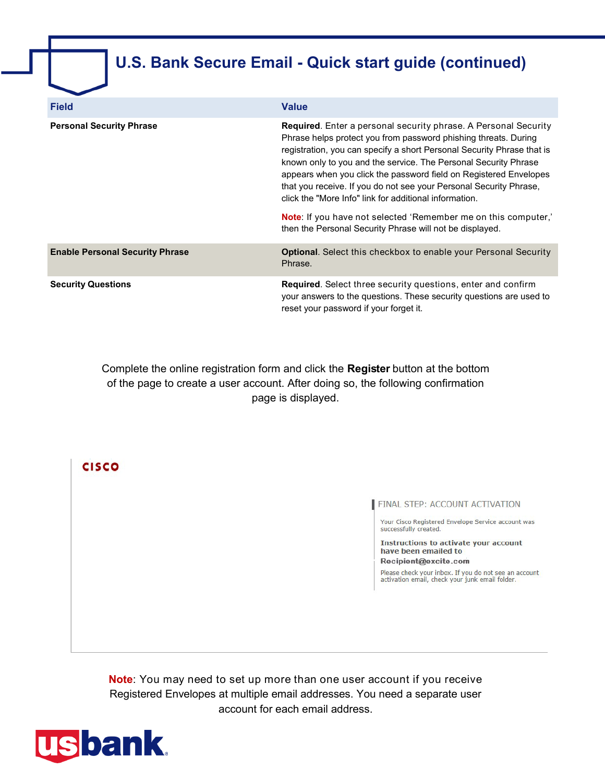## **U.S. Bank Secure Email - Quick start guide (continued)**

| <b>Field</b>                           | <b>Value</b>                                                                                                                                                                                                                                                                                                                                                                                                                                                                                                                                                                                                                     |
|----------------------------------------|----------------------------------------------------------------------------------------------------------------------------------------------------------------------------------------------------------------------------------------------------------------------------------------------------------------------------------------------------------------------------------------------------------------------------------------------------------------------------------------------------------------------------------------------------------------------------------------------------------------------------------|
| <b>Personal Security Phrase</b>        | <b>Required.</b> Enter a personal security phrase. A Personal Security<br>Phrase helps protect you from password phishing threats. During<br>registration, you can specify a short Personal Security Phrase that is<br>known only to you and the service. The Personal Security Phrase<br>appears when you click the password field on Registered Envelopes<br>that you receive. If you do not see your Personal Security Phrase,<br>click the "More Info" link for additional information.<br><b>Note:</b> If you have not selected 'Remember me on this computer,'<br>then the Personal Security Phrase will not be displayed. |
| <b>Enable Personal Security Phrase</b> | <b>Optional.</b> Select this checkbox to enable your Personal Security<br>Phrase.                                                                                                                                                                                                                                                                                                                                                                                                                                                                                                                                                |
| <b>Security Questions</b>              | Required. Select three security questions, enter and confirm<br>your answers to the questions. These security questions are used to<br>reset your password if your forget it.                                                                                                                                                                                                                                                                                                                                                                                                                                                    |

Complete the online registration form and click the **Register** button at the bottom of the page to create a user account. After doing so, the following confirmation page is displayed.

**CISCO** 

FINAL STEP: ACCOUNT ACTIVATION

Your Cisco Registered Envelope Service account was successfully created.

**Instructions to activate your account** have been emailed to

Recipient@excite.com

Please check your inbox. If you do not see an account<br>activation email, check your junk email folder.

**Note**: You may need to set up more than one user account if you receive Registered Envelopes at multiple email addresses. You need a separate user account for each email address.

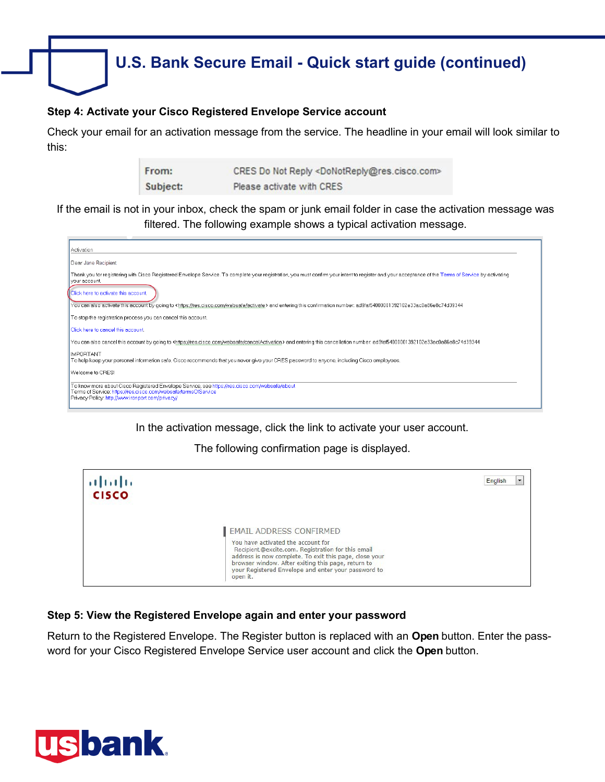

### **Step 4: Activate your Cisco Registered Envelope Service account**

Check your email for an activation message from the service. The headline in your email will look similar to this:

> From: CRES Do Not Reply <DoNotReply@res.cisco.com> Subject: Please activate with CRES

If the email is not in your inbox, check the spam or junk email folder in case the activation message was filtered. The following example shows a typical activation message.



In the activation message, click the link to activate your user account.

The following confirmation page is displayed.



### **Step 5: View the Registered Envelope again and enter your password**

Return to the Registered Envelope. The Register button is replaced with an **Open** button. Enter the password for your Cisco Registered Envelope Service user account and click the **Open** button.